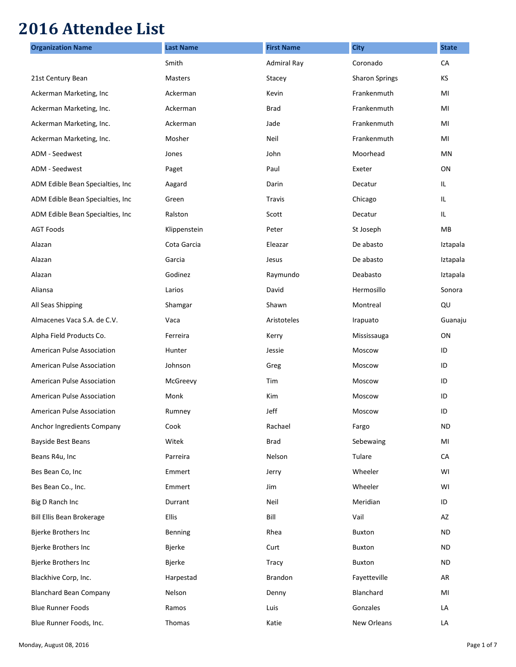## **2016 Attendee List**

| <b>Organization Name</b>          | <b>Last Name</b> | <b>First Name</b>  | <b>City</b>           | <b>State</b> |
|-----------------------------------|------------------|--------------------|-----------------------|--------------|
|                                   | Smith            | <b>Admiral Ray</b> | Coronado              | CA           |
| 21st Century Bean                 | <b>Masters</b>   | Stacey             | <b>Sharon Springs</b> | KS           |
| Ackerman Marketing, Inc           | Ackerman         | Kevin              | Frankenmuth           | MI           |
| Ackerman Marketing, Inc.          | Ackerman         | <b>Brad</b>        | Frankenmuth           | MI           |
| Ackerman Marketing, Inc.          | Ackerman         | Jade               | Frankenmuth           | MI           |
| Ackerman Marketing, Inc.          | Mosher           | Neil               | Frankenmuth           | MI           |
| ADM - Seedwest                    | Jones            | John               | Moorhead              | ΜN           |
| ADM - Seedwest                    | Paget            | Paul               | Exeter                | ON           |
| ADM Edible Bean Specialties, Inc. | Aagard           | Darin              | Decatur               | IL.          |
| ADM Edible Bean Specialties, Inc. | Green            | <b>Travis</b>      | Chicago               | IL           |
| ADM Edible Bean Specialties, Inc. | Ralston          | Scott              | Decatur               | IL           |
| <b>AGT Foods</b>                  | Klippenstein     | Peter              | St Joseph             | MВ           |
| Alazan                            | Cota Garcia      | Eleazar            | De abasto             | Iztapala     |
| Alazan                            | Garcia           | Jesus              | De abasto             | Iztapala     |
| Alazan                            | Godinez          | Raymundo           | Deabasto              | Iztapala     |
| Aliansa                           | Larios           | David              | Hermosillo            | Sonora       |
| All Seas Shipping                 | Shamgar          | Shawn              | Montreal              | QU           |
| Almacenes Vaca S.A. de C.V.       | Vaca             | Aristoteles        | Irapuato              | Guanaju      |
| Alpha Field Products Co.          | Ferreira         | Kerry              | Mississauga           | ON           |
| American Pulse Association        | Hunter           | Jessie             | Moscow                | ID           |
| American Pulse Association        | Johnson          | Greg               | Moscow                | ID           |
| American Pulse Association        | McGreevy         | Tim                | Moscow                | ID           |
| American Pulse Association        | Monk             | Kim                | Moscow                | ID           |
| <b>American Pulse Association</b> | Rumney           | Jeff               | Moscow                | ID           |
| Anchor Ingredients Company        | Cook             | Rachael            | Fargo                 | <b>ND</b>    |
| Bayside Best Beans                | Witek            | <b>Brad</b>        | Sebewaing             | MI           |
| Beans R4u, Inc                    | Parreira         | Nelson             | Tulare                | CA           |
| Bes Bean Co, Inc                  | Emmert           | Jerry              | Wheeler               | WI           |
| Bes Bean Co., Inc.                | Emmert           | Jim                | Wheeler               | WI           |
| Big D Ranch Inc                   | Durrant          | Neil               | Meridian              | ID           |
| Bill Ellis Bean Brokerage         | Ellis            | Bill               | Vail                  | AZ           |
| Bjerke Brothers Inc               | Benning          | Rhea               | Buxton                | <b>ND</b>    |
| Bjerke Brothers Inc               | Bjerke           | Curt               | Buxton                | <b>ND</b>    |
| Bjerke Brothers Inc               | Bjerke           | Tracy              | Buxton                | <b>ND</b>    |
| Blackhive Corp, Inc.              | Harpestad        | Brandon            | Fayetteville          | AR           |
| <b>Blanchard Bean Company</b>     | Nelson           | Denny              | Blanchard             | MI           |
| <b>Blue Runner Foods</b>          | Ramos            | Luis               | Gonzales              | LA           |
| Blue Runner Foods, Inc.           | Thomas           | Katie              | New Orleans           | LA           |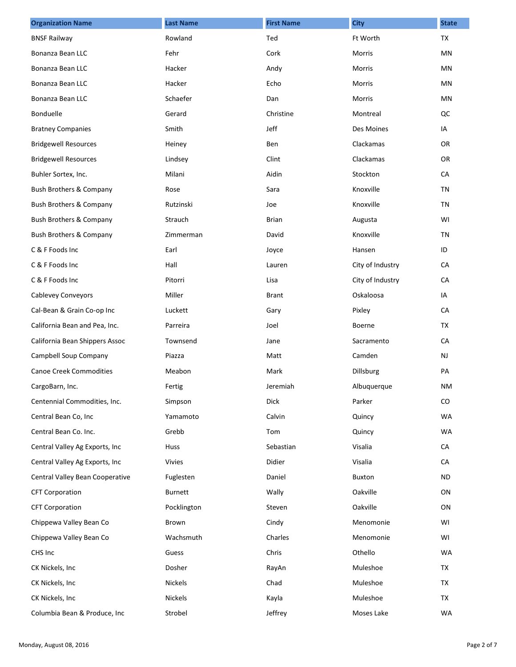| <b>Organization Name</b>           | <b>Last Name</b> | <b>First Name</b> | <b>City</b>      | <b>State</b> |
|------------------------------------|------------------|-------------------|------------------|--------------|
| <b>BNSF Railway</b>                | Rowland          | Ted               | Ft Worth         | <b>TX</b>    |
| Bonanza Bean LLC                   | Fehr             | Cork              | Morris           | MN           |
| Bonanza Bean LLC                   | Hacker           | Andy              | <b>Morris</b>    | MN           |
| Bonanza Bean LLC                   | Hacker           | Echo              | Morris           | MN           |
| Bonanza Bean LLC                   | Schaefer         | Dan               | Morris           | MN           |
| Bonduelle                          | Gerard           | Christine         | Montreal         | QC           |
| <b>Bratney Companies</b>           | Smith            | Jeff              | Des Moines       | IA           |
| <b>Bridgewell Resources</b>        | Heiney           | Ben               | Clackamas        | <b>OR</b>    |
| <b>Bridgewell Resources</b>        | Lindsey          | Clint             | Clackamas        | <b>OR</b>    |
| Buhler Sortex, Inc.                | Milani           | Aidin             | Stockton         | CA           |
| <b>Bush Brothers &amp; Company</b> | Rose             | Sara              | Knoxville        | <b>TN</b>    |
| Bush Brothers & Company            | Rutzinski        | Joe               | Knoxville        | TN           |
| Bush Brothers & Company            | Strauch          | <b>Brian</b>      | Augusta          | WI           |
| Bush Brothers & Company            | Zimmerman        | David             | Knoxville        | <b>TN</b>    |
| C & F Foods Inc                    | Earl             | Joyce             | Hansen           | ID           |
| C & F Foods Inc                    | Hall             | Lauren            | City of Industry | CA           |
| C & F Foods Inc                    | Pitorri          | Lisa              | City of Industry | CA           |
| <b>Cablevey Conveyors</b>          | Miller           | <b>Brant</b>      | Oskaloosa        | IA           |
| Cal-Bean & Grain Co-op Inc         | Luckett          | Gary              | Pixley           | CA           |
| California Bean and Pea, Inc.      | Parreira         | Joel              | Boerne           | TX           |
| California Bean Shippers Assoc     | Townsend         | Jane              | Sacramento       | CA           |
| Campbell Soup Company              | Piazza           | Matt              | Camden           | <b>NJ</b>    |
| <b>Canoe Creek Commodities</b>     | Meabon           | Mark              | Dillsburg        | PA           |
| CargoBarn, Inc.                    | Fertig           | Jeremiah          | Albuquerque      | <b>NM</b>    |
| Centennial Commodities, Inc.       | Simpson          | Dick              | Parker           | CO           |
| Central Bean Co, Inc               | Yamamoto         | Calvin            | Quincy           | <b>WA</b>    |
| Central Bean Co. Inc.              | Grebb            | Tom               | Quincy           | <b>WA</b>    |
| Central Valley Ag Exports, Inc     | Huss             | Sebastian         | Visalia          | CA           |
| Central Valley Ag Exports, Inc     | <b>Vivies</b>    | Didier            | Visalia          | CA           |
| Central Valley Bean Cooperative    | Fuglesten        | Daniel            | Buxton           | <b>ND</b>    |
| <b>CFT Corporation</b>             | Burnett          | Wally             | Oakville         | ON           |
| <b>CFT Corporation</b>             | Pocklington      | Steven            | Oakville         | ON           |
| Chippewa Valley Bean Co            | Brown            | Cindy             | Menomonie        | WI           |
| Chippewa Valley Bean Co            | Wachsmuth        | Charles           | Menomonie        | WI           |
| CHS Inc                            | Guess            | Chris             | Othello          | <b>WA</b>    |
| CK Nickels, Inc                    | Dosher           | RayAn             | Muleshoe         | TX           |
| CK Nickels, Inc.                   | <b>Nickels</b>   | Chad              | Muleshoe         | TX           |
| CK Nickels, Inc.                   | Nickels          | Kayla             | Muleshoe         | TX           |
| Columbia Bean & Produce, Inc       | Strobel          | Jeffrey           | Moses Lake       | WA           |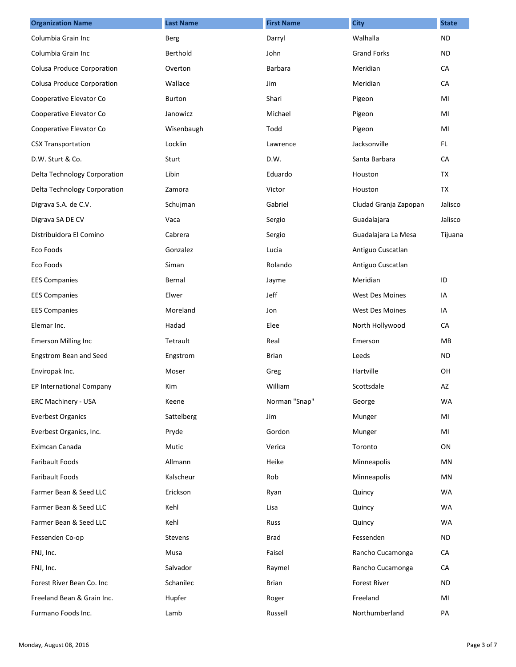| <b>Organization Name</b>          | <b>Last Name</b> | <b>First Name</b> | <b>City</b>           | <b>State</b> |
|-----------------------------------|------------------|-------------------|-----------------------|--------------|
| Columbia Grain Inc                | Berg             | Darryl            | Walhalla              | <b>ND</b>    |
| Columbia Grain Inc                | Berthold         | John              | <b>Grand Forks</b>    | ND.          |
| Colusa Produce Corporation        | Overton          | Barbara           | Meridian              | CA           |
| <b>Colusa Produce Corporation</b> | Wallace          | Jim               | Meridian              | CA           |
| Cooperative Elevator Co           | <b>Burton</b>    | Shari             | Pigeon                | MI           |
| Cooperative Elevator Co           | Janowicz         | Michael           | Pigeon                | MI           |
| Cooperative Elevator Co           | Wisenbaugh       | Todd              | Pigeon                | MI           |
| <b>CSX Transportation</b>         | Locklin          | Lawrence          | Jacksonville          | FL.          |
| D.W. Sturt & Co.                  | Sturt            | D.W.              | Santa Barbara         | CA           |
| Delta Technology Corporation      | Libin            | Eduardo           | Houston               | <b>TX</b>    |
| Delta Technology Corporation      | Zamora           | Victor            | Houston               | <b>TX</b>    |
| Digrava S.A. de C.V.              | Schujman         | Gabriel           | Cludad Granja Zapopan | Jalisco      |
| Digrava SA DE CV                  | Vaca             | Sergio            | Guadalajara           | Jalisco      |
| Distribuidora El Comino           | Cabrera          | Sergio            | Guadalajara La Mesa   | Tijuana      |
| Eco Foods                         | Gonzalez         | Lucia             | Antiguo Cuscatlan     |              |
| Eco Foods                         | Siman            | Rolando           | Antiguo Cuscatlan     |              |
| <b>EES Companies</b>              | Bernal           | Jayme             | Meridian              | ID           |
| <b>EES Companies</b>              | Elwer            | Jeff              | West Des Moines       | IA           |
| <b>EES Companies</b>              | Moreland         | Jon               | West Des Moines       | IA           |
| Elemar Inc.                       | Hadad            | Elee              | North Hollywood       | CA           |
| <b>Emerson Milling Inc</b>        | Tetrault         | Real              | Emerson               | MB           |
| Engstrom Bean and Seed            | Engstrom         | Brian             | Leeds                 | <b>ND</b>    |
| Enviropak Inc.                    | Moser            | Greg              | Hartville             | OH           |
| EP International Company          | Kim              | William           | Scottsdale            | AZ           |
| ERC Machinery - USA               | Keene            | Norman "Snap"     | George                | <b>WA</b>    |
| <b>Everbest Organics</b>          | Sattelberg       | Jim               | Munger                | MI           |
| Everbest Organics, Inc.           | Pryde            | Gordon            | Munger                | MI           |
| Eximcan Canada                    | Mutic            | Verica            | Toronto               | ON           |
| Faribault Foods                   | Allmann          | Heike             | Minneapolis           | MN           |
| <b>Faribault Foods</b>            | Kalscheur        | Rob               | Minneapolis           | MN           |
| Farmer Bean & Seed LLC            | Erickson         | Ryan              | Quincy                | <b>WA</b>    |
| Farmer Bean & Seed LLC            | Kehl             | Lisa              | Quincy                | <b>WA</b>    |
| Farmer Bean & Seed LLC            | Kehl             | Russ              | Quincy                | <b>WA</b>    |
| Fessenden Co-op                   | Stevens          | <b>Brad</b>       | Fessenden             | <b>ND</b>    |
| FNJ, Inc.                         | Musa             | Faisel            | Rancho Cucamonga      | CA           |
| FNJ, Inc.                         | Salvador         | Raymel            | Rancho Cucamonga      | CA           |
| Forest River Bean Co. Inc         | Schanilec        | Brian             | <b>Forest River</b>   | ND.          |
| Freeland Bean & Grain Inc.        | Hupfer           | Roger             | Freeland              | MI           |
| Furmano Foods Inc.                | Lamb             | Russell           | Northumberland        | PA           |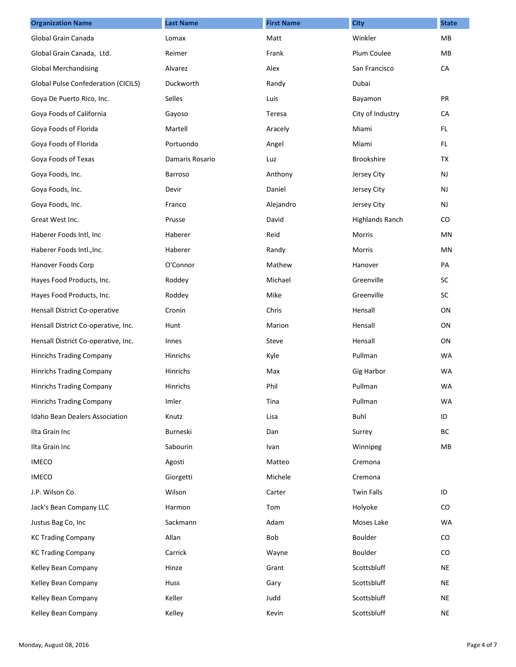| <b>Organization Name</b>                   | <b>Last Name</b> | <b>First Name</b> | <b>City</b>            | <b>State</b> |
|--------------------------------------------|------------------|-------------------|------------------------|--------------|
| Global Grain Canada                        | Lomax            | Matt              | Winkler                | MB           |
| Global Grain Canada, Ltd.                  | Reimer           | Frank             | Plum Coulee            | MB           |
| <b>Global Merchandising</b>                | Alvarez          | Alex              | San Francisco          | CA           |
| <b>Global Pulse Confederation (CICILS)</b> | Duckworth        | Randy             | Dubai                  |              |
| Goya De Puerto Rico, Inc.                  | Selles           | Luis              | Bayamon                | PR           |
| Goya Foods of California                   | Gayoso           | Teresa            | City of Industry       | CA           |
| Goya Foods of Florida                      | Martell          | Aracely           | Miami                  | FL.          |
| Goya Foods of Florida                      | Portuondo        | Angel             | Miami                  | FL.          |
| Goya Foods of Texas                        | Damaris Rosario  | Luz               | Brookshire             | <b>TX</b>    |
| Goya Foods, Inc.                           | Barroso          | Anthony           | Jersey City            | NJ           |
| Goya Foods, Inc.                           | Devir            | Daniel            | Jersey City            | <b>NJ</b>    |
| Goya Foods, Inc.                           | Franco           | Alejandro         | Jersey City            | NJ           |
| Great West Inc.                            | Prusse           | David             | <b>Highlands Ranch</b> | CO           |
| Haberer Foods Intl, Inc                    | Haberer          | Reid              | Morris                 | MN           |
| Haberer Foods Intl., Inc.                  | Haberer          | Randy             | <b>Morris</b>          | MN           |
| Hanover Foods Corp                         | O'Connor         | Mathew            | Hanover                | PA           |
| Hayes Food Products, Inc.                  | Roddey           | Michael           | Greenville             | SC           |
| Hayes Food Products, Inc.                  | Roddey           | Mike              | Greenville             | SC           |
| Hensall District Co-operative              | Cronin           | Chris             | Hensall                | ON           |
| Hensall District Co-operative, Inc.        | Hunt             | Marion            | Hensall                | ON           |
| Hensall District Co-operative, Inc.        | Innes            | Steve             | Hensall                | ON           |
| <b>Hinrichs Trading Company</b>            | Hinrichs         | Kyle              | Pullman                | <b>WA</b>    |
| <b>Hinrichs Trading Company</b>            | Hinrichs         | Max               | Gig Harbor             | <b>WA</b>    |
| <b>Hinrichs Trading Company</b>            | Hinrichs         | Phil              | Pullman                | <b>WA</b>    |
| Hinrichs Trading Company                   | Imler            | Tina              | Pullman                | <b>WA</b>    |
| Idaho Bean Dealers Association             | Knutz            | Lisa              | <b>Buhl</b>            | ID           |
| Ilta Grain Inc                             | Burneski         | Dan               | Surrey                 | BC           |
| Ilta Grain Inc                             | Sabourin         | Ivan              | Winnipeg               | MB           |
| <b>IMECO</b>                               | Agosti           | Matteo            | Cremona                |              |
| <b>IMECO</b>                               | Giorgetti        | Michele           | Cremona                |              |
| J.P. Wilson Co.                            | Wilson           | Carter            | <b>Twin Falls</b>      | ID           |
| Jack's Bean Company LLC                    | Harmon           | Tom               | Holyoke                | CO           |
| Justus Bag Co, Inc                         | Sackmann         | Adam              | Moses Lake             | <b>WA</b>    |
| <b>KC Trading Company</b>                  | Allan            | Bob               | Boulder                | CO           |
| <b>KC Trading Company</b>                  | Carrick          | Wayne             | Boulder                | CO.          |
| Kelley Bean Company                        | Hinze            | Grant             | Scottsbluff            | <b>NE</b>    |
| Kelley Bean Company                        | Huss             | Gary              | Scottsbluff            | NE           |
| Kelley Bean Company                        | Keller           | Judd              | Scottsbluff            | NE           |
| Kelley Bean Company                        | Kelley           | Kevin             | Scottsbluff            | <b>NE</b>    |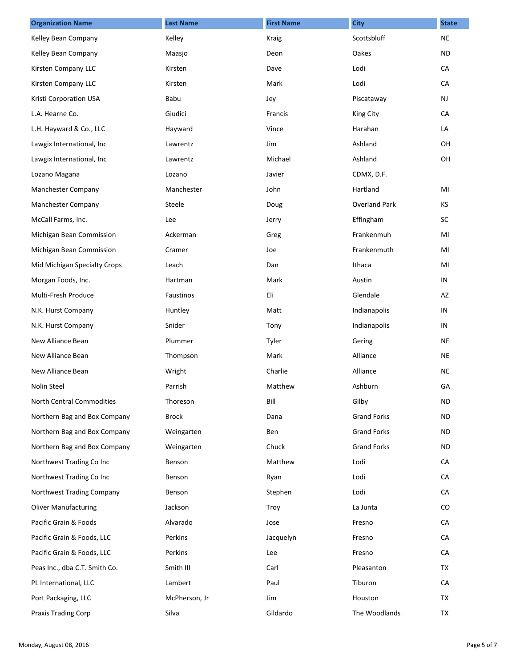| <b>Organization Name</b>      | <b>Last Name</b> | <b>First Name</b> | <b>City</b>          | <b>State</b> |
|-------------------------------|------------------|-------------------|----------------------|--------------|
| Kelley Bean Company           | Kelley           | <b>Kraig</b>      | Scottsbluff          | <b>NE</b>    |
| Kelley Bean Company           | Maasjo           | Deon              | Oakes                | ND.          |
| Kirsten Company LLC           | Kirsten          | Dave              | Lodi                 | CA           |
| Kirsten Company LLC           | Kirsten          | Mark              | Lodi                 | CA           |
| Kristi Corporation USA        | Babu             | Jey               | Piscataway           | <b>NJ</b>    |
| L.A. Hearne Co.               | Giudici          | Francis           | King City            | CA           |
| L.H. Hayward & Co., LLC       | Hayward          | Vince             | Harahan              | LA           |
| Lawgix International, Inc     | Lawrentz         | Jim               | Ashland              | OH           |
| Lawgix International, Inc     | Lawrentz         | Michael           | Ashland              | OH           |
| Lozano Magana                 | Lozano           | Javier            | CDMX, D.F.           |              |
| Manchester Company            | Manchester       | John              | Hartland             | MI           |
| Manchester Company            | Steele           | Doug              | <b>Overland Park</b> | KS           |
| McCall Farms, Inc.            | Lee              | Jerry             | Effingham            | SC           |
| Michigan Bean Commission      | Ackerman         | Greg              | Frankenmuh           | MI           |
| Michigan Bean Commission      | Cramer           | Joe               | Frankenmuth          | MI           |
| Mid Michigan Specialty Crops  | Leach            | Dan               | Ithaca               | MI           |
| Morgan Foods, Inc.            | Hartman          | Mark              | Austin               | IN           |
| Multi-Fresh Produce           | Faustinos        | Eli               | Glendale             | AZ           |
| N.K. Hurst Company            | Huntley          | Matt              | Indianapolis         | IN           |
| N.K. Hurst Company            | Snider           | Tony              | Indianapolis         | IN           |
| New Alliance Bean             | Plummer          | Tyler             | Gering               | <b>NE</b>    |
| New Alliance Bean             | Thompson         | Mark              | Alliance             | <b>NE</b>    |
| New Alliance Bean             | Wright           | Charlie           | Alliance             | NE           |
| <b>Nolin Steel</b>            | Parrish          | Matthew           | Ashburn              | GA           |
| North Central Commodities     | Thoreson         | Bill              | Gilby                | <b>ND</b>    |
| Northern Bag and Box Company  | <b>Brock</b>     | Dana              | <b>Grand Forks</b>   | <b>ND</b>    |
| Northern Bag and Box Company  | Weingarten       | Ben               | <b>Grand Forks</b>   | ND.          |
| Northern Bag and Box Company  | Weingarten       | Chuck             | <b>Grand Forks</b>   | ND.          |
| Northwest Trading Co Inc      | Benson           | Matthew           | Lodi                 | CA           |
| Northwest Trading Co Inc      | Benson           | Ryan              | Lodi                 | CA           |
| Northwest Trading Company     | Benson           | Stephen           | Lodi                 | CA           |
| <b>Oliver Manufacturing</b>   | Jackson          | Troy              | La Junta             | CO.          |
| Pacific Grain & Foods         | Alvarado         | Jose              | Fresno               | CA           |
| Pacific Grain & Foods, LLC    | Perkins          | Jacquelyn         | Fresno               | CA           |
| Pacific Grain & Foods, LLC    | Perkins          | Lee               | Fresno               | CA           |
| Peas Inc., dba C.T. Smith Co. | Smith III        | Carl              | Pleasanton           | TX           |
| PL International, LLC         | Lambert          | Paul              | Tiburon              | CA           |
| Port Packaging, LLC           | McPherson, Jr    | Jim               | Houston              | TX           |
| Praxis Trading Corp           | Silva            | Gildardo          | The Woodlands        | TX           |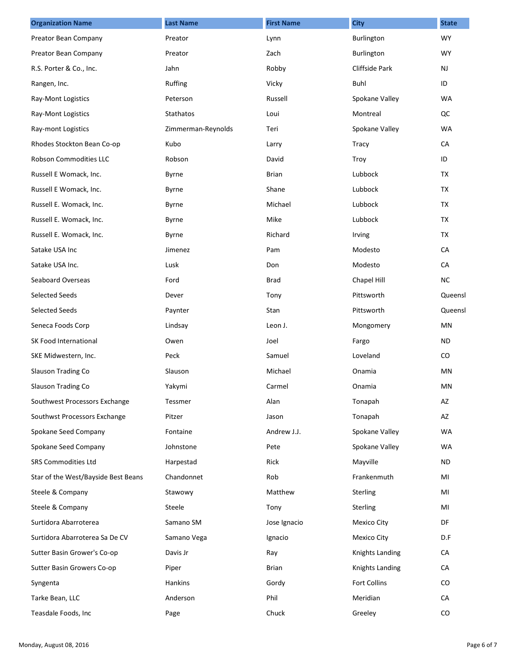| <b>Organization Name</b>            | <b>Last Name</b>   | <b>First Name</b> | <b>City</b>            | <b>State</b> |
|-------------------------------------|--------------------|-------------------|------------------------|--------------|
| Preator Bean Company                | Preator            | Lynn              | Burlington             | <b>WY</b>    |
| Preator Bean Company                | Preator            | Zach              | Burlington             | <b>WY</b>    |
| R.S. Porter & Co., Inc.             | Jahn               | Robby             | Cliffside Park         | NJ           |
| Rangen, Inc.                        | Ruffing            | Vicky             | Buhl                   | ID           |
| Ray-Mont Logistics                  | Peterson           | Russell           | Spokane Valley         | <b>WA</b>    |
| Ray-Mont Logistics                  | Stathatos          | Loui              | Montreal               | QC           |
| Ray-mont Logistics                  | Zimmerman-Reynolds | Teri              | Spokane Valley         | <b>WA</b>    |
| Rhodes Stockton Bean Co-op          | Kubo               | Larry             | Tracy                  | CA           |
| Robson Commodities LLC              | Robson             | David             | Troy                   | ID           |
| Russell E Womack, Inc.              | Byrne              | Brian             | Lubbock                | TX           |
| Russell E Womack, Inc.              | Byrne              | Shane             | Lubbock                | <b>TX</b>    |
| Russell E. Womack, Inc.             | Byrne              | Michael           | Lubbock                | TX           |
| Russell E. Womack, Inc.             | Byrne              | Mike              | Lubbock                | <b>TX</b>    |
| Russell E. Womack, Inc.             | Byrne              | Richard           | Irving                 | TX           |
| Satake USA Inc                      | Jimenez            | Pam               | Modesto                | CA           |
| Satake USA Inc.                     | Lusk               | Don               | Modesto                | CA           |
| Seaboard Overseas                   | Ford               | <b>Brad</b>       | Chapel Hill            | <b>NC</b>    |
| <b>Selected Seeds</b>               | Dever              | Tony              | Pittsworth             | Queensl      |
| <b>Selected Seeds</b>               | Paynter            | Stan              | Pittsworth             | Queensl      |
| Seneca Foods Corp                   | Lindsay            | Leon J.           | Mongomery              | ΜN           |
| SK Food International               | Owen               | Joel              | Fargo                  | <b>ND</b>    |
| SKE Midwestern, Inc.                | Peck               | Samuel            | Loveland               | CO           |
| Slauson Trading Co                  | Slauson            | Michael           | Onamia                 | ΜN           |
| Slauson Trading Co                  | Yakymi             | Carmel            | Onamia                 | ΜN           |
| Southwest Processors Exchange       | Tessmer            | Alan              | Tonapah                | AZ           |
| Southwst Processors Exchange        | Pitzer             | Jason             | Tonapah                | AZ           |
| Spokane Seed Company                | Fontaine           | Andrew J.J.       | Spokane Valley         | WA           |
| Spokane Seed Company                | Johnstone          | Pete              | Spokane Valley         | <b>WA</b>    |
| SRS Commodities Ltd                 | Harpestad          | Rick              | Mayville               | <b>ND</b>    |
| Star of the West/Bayside Best Beans | Chandonnet         | Rob               | Frankenmuth            | MI           |
| Steele & Company                    | Stawowy            | Matthew           | Sterling               | MI           |
| Steele & Company                    | Steele             | Tony              | Sterling               | MI           |
| Surtidora Abarroterea               | Samano SM          | Jose Ignacio      | <b>Mexico City</b>     | DF           |
| Surtidora Abarroterea Sa De CV      | Samano Vega        | Ignacio           | Mexico City            | D.F          |
| Sutter Basin Grower's Co-op         | Davis Jr           | Ray               | Knights Landing        | CA           |
| Sutter Basin Growers Co-op          | Piper              | <b>Brian</b>      | <b>Knights Landing</b> | CA           |
| Syngenta                            | Hankins            | Gordy             | <b>Fort Collins</b>    | CO           |
| Tarke Bean, LLC                     | Anderson           | Phil              | Meridian               | CA           |
| Teasdale Foods, Inc                 | Page               | Chuck             | Greeley                | CO           |